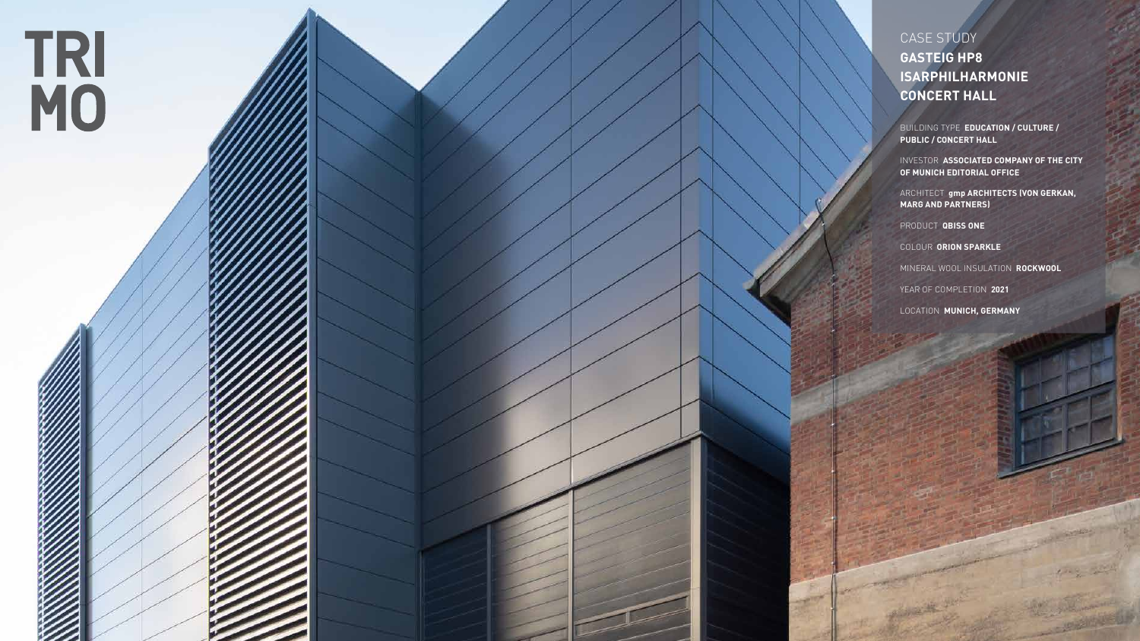

CASE STUDY **GASTEIG HP8 ISARPHILHARMONIE CONCERT HALL**

BUILDING TYPE **EDUCATION / CULTURE / PUBLIC / CONCERT HALL**

INVESTOR **ASSOCIATED COMPANY OF THE CITY OF MUNICH EDITORIAL OFFICE** 

ARCHITECT **gmp ARCHITECTS (VON GERKAN, MARG AND PARTNERS)** 

PRODUCT **QBISS ONE**

COLOUR **ORION SPARKLE**

MINERAL WOOL INSULATION **ROCKWOOL**

YEAR OF COMPLETION **2021**

LOCATION **MUNICH, GERMANY**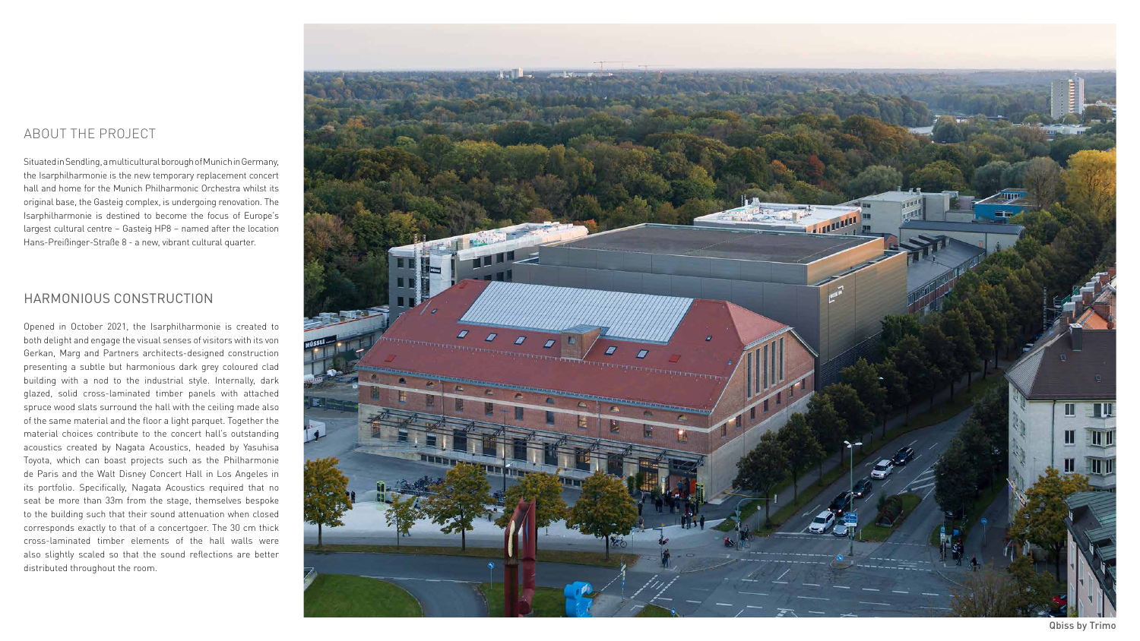### ABOUT THE PROJECT

Situated in Sendling, a multicultural borough of Munich in Germany, the Isarphilharmonie is the new temporary replacement concert hall and home for the Munich Philharmonic Orchestra whilst its original base, the Gasteig complex, is undergoing renovation. The Isarphilharmonie is destined to become the focus of Europe's largest cultural centre – Gasteig HP8 – named after the location Hans-Preißinger-Straße 8 - a new, vibrant cultural quarter.

#### HARMONIOUS CONSTRUCTION

Opened in October 2021, the Isarphilharmonie is created to both delight and engage the visual senses of visitors with its von Gerkan, Marg and Partners architects-designed construction presenting a subtle but harmonious dark grey coloured clad building with a nod to the industrial style. Internally, dark glazed, solid cross-laminated timber panels with attached spruce wood slats surround the hall with the ceiling made also of the same material and the floor a light parquet. Together the material choices contribute to the concert hall's outstanding acoustics created by Nagata Acoustics, headed by Yasuhisa Toyota, which can boast projects such as the Philharmonie de Paris and the Walt Disney Concert Hall in Los Angeles in its portfolio. Specifically, Nagata Acoustics required that no seat be more than 33m from the stage, themselves bespoke to the building such that their sound attenuation when closed corresponds exactly to that of a concertgoer. The 30 cm thick cross-laminated timber elements of the hall walls were also slightly scaled so that the sound reflections are better distributed throughout the room.



Qbiss by Trimo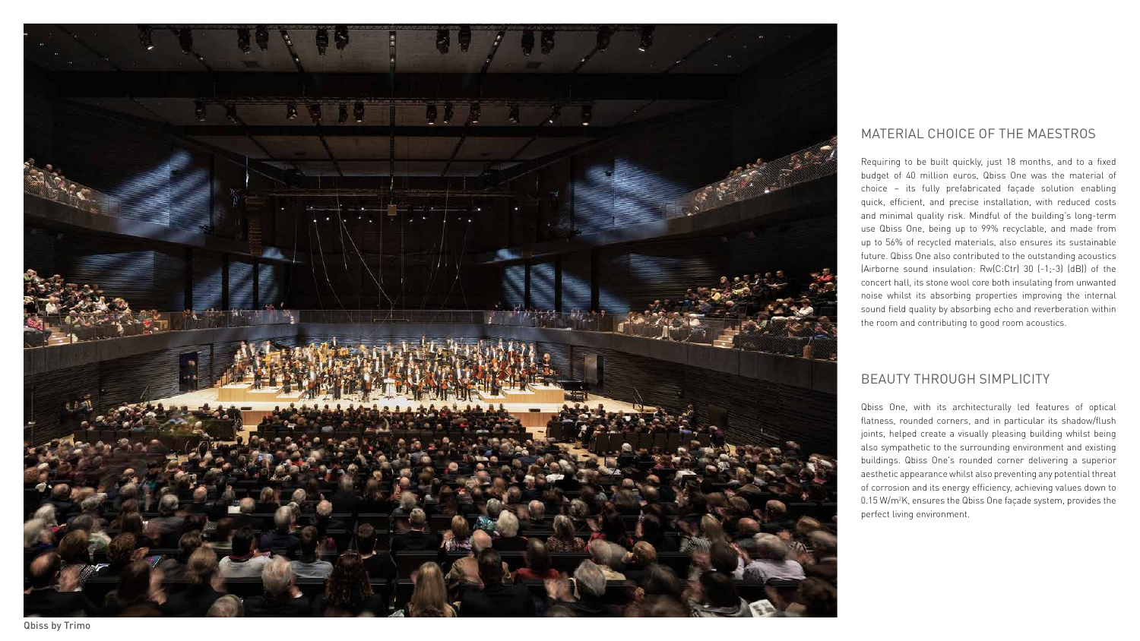## MATERIAL CHOICE OF THE MAESTROS

Requiring to be built quickly, just 18 months, and to a fixed budget of 40 million euros, Qbiss One was the material of choice – its fully prefabricated façade solution enabling quick, efficient, and precise installation, with reduced costs and minimal quality risk. Mindful of the building's long-term use Qbiss One, being up to 99% recyclable, and made from up to 56% of recycled materials, also ensures its sustainable future. Qbiss One also contributed to the outstanding acoustics (Airborne sound insulation: Rw(C:Ctr) 30 (-1;-3) (dB)) of the concert hall, its stone wool core both insulating from unwanted noise whilst its absorbing properties improving the internal sound field quality by absorbing echo and reverberation within the room and contributing to good room acoustics.

# BEAUTY THROUGH SIMPLICITY

Qbiss One, with its architecturally led features of optical flatness, rounded corners, and in particular its shadow/flush joints, helped create a visually pleasing building whilst being also sympathetic to the surrounding environment and existing buildings. Qbiss One's rounded corner delivering a superior aesthetic appearance whilst also preventing any potential threat of corrosion and its energy efficiency, achieving values down to 0.15 W/m 2 K, ensures the Qbiss One façade system, provides the perfect living environment.



Qbiss by Trimo